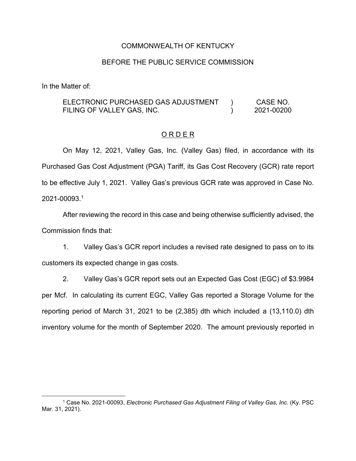#### COMMONWEALTH OF KENTUCKY

#### BEFORE THE PUBLIC SERVICE COMMISSION

In the Matter of:

#### ELECTRONIC PURCHASED GAS ADJUSTMENT FILING OF VALLEY GAS, INC.  $\left( \right)$  $\lambda$ CASE NO. 2021-00200

#### O R D E R

On May 12, 2021, Valley Gas, Inc. (Valley Gas) filed, in accordance with its Purchased Gas Cost Adjustment (PGA) Tariff, its Gas Cost Recovery (GCR) rate report to be effective July 1, 2021. Valley Gas's previous GCR rate was approved in Case No. 2021-00093. 1

After reviewing the record in this case and being otherwise sufficiently advised, the Commission finds that:

1. Valley Gas's GCR report includes a revised rate designed to pass on to its customers its expected change in gas costs.

2. Valley Gas's GCR report sets out an Expected Gas Cost (EGC) of \$3.9984 per Mcf. In calculating its current EGC, Valley Gas reported a Storage Volume for the reporting period of March 31, 2021 to be (2,385) dth which included a (13,110.0) dth inventory volume for the month of September 2020. The amount previously reported in

<sup>1</sup> Case No. 2021-00093, *Electronic Purchased Gas Adjustment Filing of Valley Gas, Inc.* (Ky. PSC Mar. 31, 2021).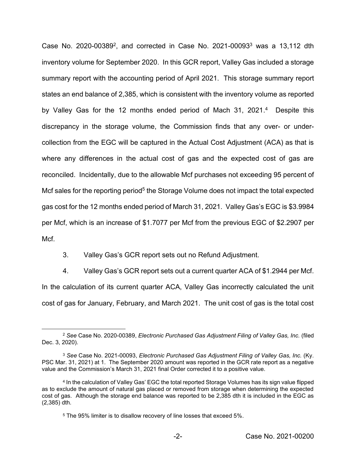Case No. 2020-003892, and corrected in Case No. 2021-000933 was a 13,112 dth inventory volume for September 2020. In this GCR report, Valley Gas included a storage summary report with the accounting period of April 2021. This storage summary report states an end balance of 2,385, which is consistent with the inventory volume as reported by Valley Gas for the 12 months ended period of Mach 31, 2021.<sup>4</sup> Despite this discrepancy in the storage volume, the Commission finds that any over- or undercollection from the EGC will be captured in the Actual Cost Adjustment (ACA) as that is where any differences in the actual cost of gas and the expected cost of gas are reconciled. Incidentally, due to the allowable Mcf purchases not exceeding 95 percent of Mcf sales for the reporting period<sup>5</sup> the Storage Volume does not impact the total expected gas cost for the 12 months ended period of March 31, 2021. Valley Gas's EGC is \$3.9984 per Mcf, which is an increase of \$1.7077 per Mcf from the previous EGC of \$2.2907 per Mcf.

3. Valley Gas's GCR report sets out no Refund Adjustment.

4. Valley Gas's GCR report sets out a current quarter ACA of \$1.2944 per Mcf. In the calculation of its current quarter ACA, Valley Gas incorrectly calculated the unit cost of gas for January, February, and March 2021. The unit cost of gas is the total cost

<sup>2</sup> *See* Case No. 2020-00389, *Electronic Purchased Gas Adjustment Filing of Valley Gas, Inc.* (filed Dec. 3, 2020).

<sup>3</sup> *See* Case No. 2021-00093, *Electronic Purchased Gas Adjustment Filing of Valley Gas, Inc.* (Ky. PSC Mar. 31, 2021) at 1. The September 2020 amount was reported in the GCR rate report as a negative value and the Commission's March 31, 2021 final Order corrected it to a positive value.

<sup>4</sup> In the calculation of Valley Gas' EGC the total reported Storage Volumes has its sign value flipped as to exclude the amount of natural gas placed or removed from storage when determining the expected cost of gas. Although the storage end balance was reported to be 2,385 dth it is included in the EGC as (2,385) dth.

<sup>5</sup> The 95% limiter is to disallow recovery of line losses that exceed 5%.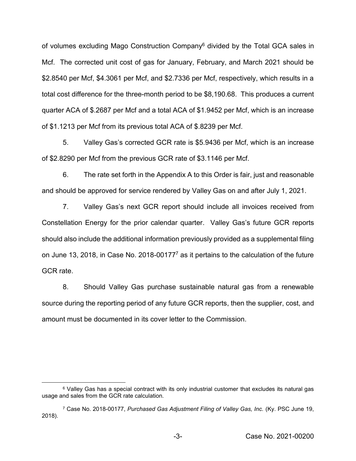of volumes excluding Mago Construction Company6 divided by the Total GCA sales in Mcf. The corrected unit cost of gas for January, February, and March 2021 should be \$2.8540 per Mcf, \$4.3061 per Mcf, and \$2.7336 per Mcf, respectively, which results in a total cost difference for the three-month period to be \$8,190.68. This produces a current quarter ACA of \$.2687 per Mcf and a total ACA of \$1.9452 per Mcf, which is an increase of \$1.1213 per Mcf from its previous total ACA of \$.8239 per Mcf.

5. Valley Gas's corrected GCR rate is \$5.9436 per Mcf, which is an increase of \$2.8290 per Mcf from the previous GCR rate of \$3.1146 per Mcf.

6. The rate set forth in the Appendix A to this Order is fair, just and reasonable and should be approved for service rendered by Valley Gas on and after July 1, 2021.

7. Valley Gas's next GCR report should include all invoices received from Constellation Energy for the prior calendar quarter. Valley Gas's future GCR reports should also include the additional information previously provided as a supplemental filing on June 13, 2018, in Case No. 2018-001777 as it pertains to the calculation of the future GCR rate.

8. Should Valley Gas purchase sustainable natural gas from a renewable source during the reporting period of any future GCR reports, then the supplier, cost, and amount must be documented in its cover letter to the Commission.

<sup>&</sup>lt;sup>6</sup> Valley Gas has a special contract with its only industrial customer that excludes its natural gas usage and sales from the GCR rate calculation.

<sup>7</sup> Case No. 2018-00177, *Purchased Gas Adjustment Filing of Valley Gas, Inc.* (Ky. PSC June 19, 2018).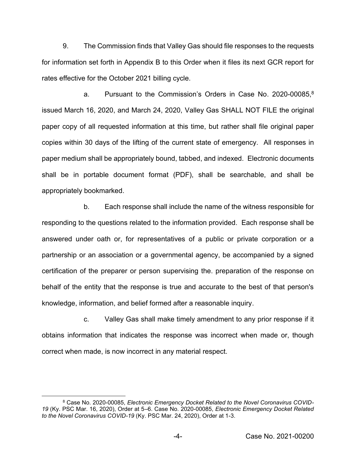9. The Commission finds that Valley Gas should file responses to the requests for information set forth in Appendix B to this Order when it files its next GCR report for rates effective for the October 2021 billing cycle.

a. Pursuant to the Commission's Orders in Case No. 2020-00085. $8$ issued March 16, 2020, and March 24, 2020, Valley Gas SHALL NOT FILE the original paper copy of all requested information at this time, but rather shall file original paper copies within 30 days of the lifting of the current state of emergency. All responses in paper medium shall be appropriately bound, tabbed, and indexed. Electronic documents shall be in portable document format (PDF), shall be searchable, and shall be appropriately bookmarked.

b. Each response shall include the name of the witness responsible for responding to the questions related to the information provided. Each response shall be answered under oath or, for representatives of a public or private corporation or a partnership or an association or a governmental agency, be accompanied by a signed certification of the preparer or person supervising the. preparation of the response on behalf of the entity that the response is true and accurate to the best of that person's knowledge, information, and belief formed after a reasonable inquiry.

c. Valley Gas shall make timely amendment to any prior response if it obtains information that indicates the response was incorrect when made or, though correct when made, is now incorrect in any material respect.

<sup>&</sup>lt;sup>8</sup> Case No. 2020-00085, Electronic Emergency Docket Related to the Novel Coronavirus COVID-*19* (Ky. PSC Mar. 16, 2020), Order at 5–6. Case No. 2020-00085, *Electronic Emergency Docket Related to the Novel Coronavirus COVID-19* (Ky. PSC Mar. 24, 2020), Order at 1-3.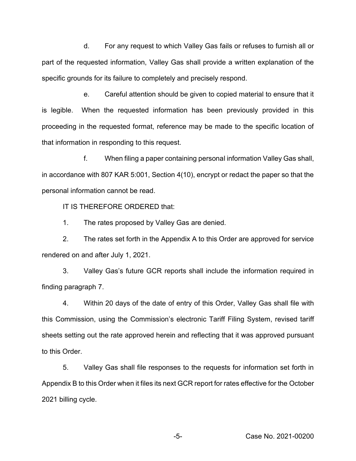d. For any request to which Valley Gas fails or refuses to furnish all or part of the requested information, Valley Gas shall provide a written explanation of the specific grounds for its failure to completely and precisely respond.

e. Careful attention should be given to copied material to ensure that it is legible. When the requested information has been previously provided in this proceeding in the requested format, reference may be made to the specific location of that information in responding to this request.

f. When filing a paper containing personal information Valley Gas shall, in accordance with 807 KAR 5:001, Section 4(10), encrypt or redact the paper so that the personal information cannot be read.

IT IS THEREFORE ORDERED that:

1. The rates proposed by Valley Gas are denied.

2. The rates set forth in the Appendix A to this Order are approved for service rendered on and after July 1, 2021.

3. Valley Gas's future GCR reports shall include the information required in finding paragraph 7.

4. Within 20 days of the date of entry of this Order, Valley Gas shall file with this Commission, using the Commission's electronic Tariff Filing System, revised tariff sheets setting out the rate approved herein and reflecting that it was approved pursuant to this Order.

5. Valley Gas shall file responses to the requests for information set forth in Appendix B to this Order when it files its next GCR report for rates effective for the October 2021 billing cycle.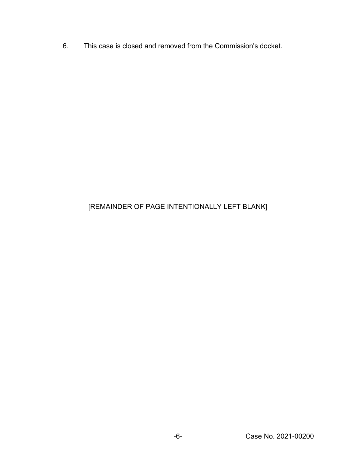6. This case is closed and removed from the Commission's docket.

# [REMAINDER OF PAGE INTENTIONALLY LEFT BLANK]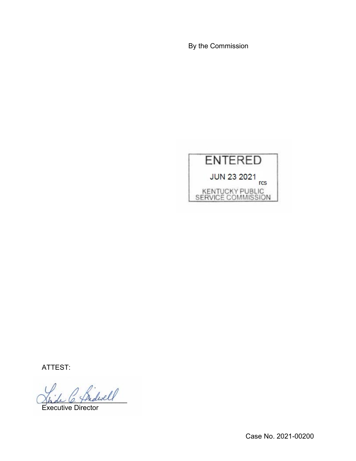By the Commission



ATTEST:

 $\ell$ 

Executive Director

Case No. 2021-00200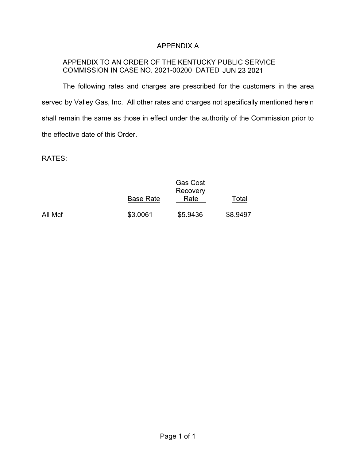### APPENDIX A

### APPENDIX TO AN ORDER OF THE KENTUCKY PUBLIC SERVICE COMMISSION IN CASE NO. 2021-00200 DATED JUN 23 2021

The following rates and charges are prescribed for the customers in the area served by Valley Gas, Inc. All other rates and charges not specifically mentioned herein shall remain the same as those in effect under the authority of the Commission prior to the effective date of this Order.

## RATES:

|         |                  | <b>Gas Cost</b><br>Recovery |          |
|---------|------------------|-----------------------------|----------|
|         | <b>Base Rate</b> | Rate                        | Total    |
| All Mcf | \$3.0061         | \$5.9436                    | \$8.9497 |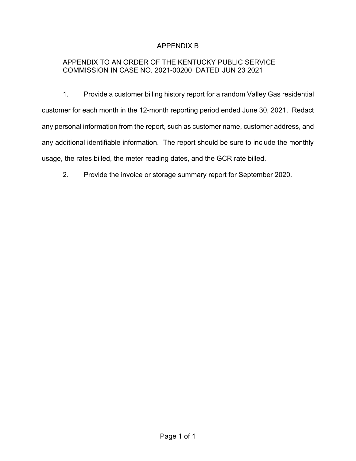# APPENDIX B

# APPENDIX TO AN ORDER OF THE KENTUCKY PUBLIC SERVICE COMMISSION IN CASE NO. 2021-00200 DATED JUN 23 2021

1. Provide a customer billing history report for a random Valley Gas residential customer for each month in the 12-month reporting period ended June 30, 2021. Redact any personal information from the report, such as customer name, customer address, and any additional identifiable information. The report should be sure to include the monthly usage, the rates billed, the meter reading dates, and the GCR rate billed.

2. Provide the invoice or storage summary report for September 2020.